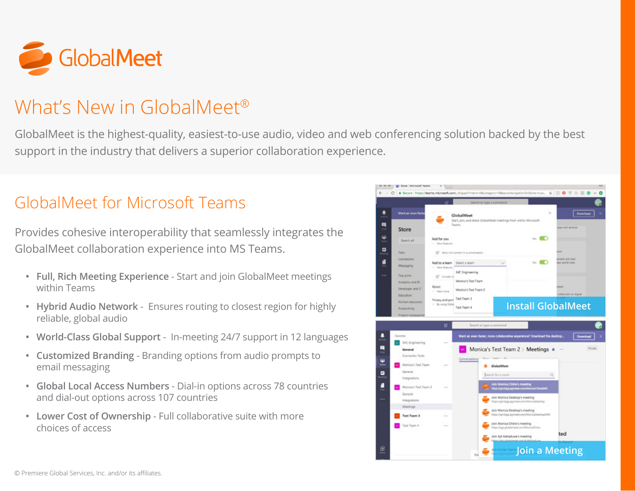

## What's New in GlobalMeet®

GlobalMeet is the highest-quality, easiest-to-use audio, video and web conferencing solution backed by the best support in the industry that delivers a superior collaboration experience.

### GlobalMeet for Microsoft Teams

Provides cohesive interoperability that seamlessly integrates the GlobalMeet collaboration experience into MS Teams.

- **• Full, Rich Meeting Experience** Start and join GlobalMeet meetings within Teams
- **• Hybrid Audio Network**  Ensures routing to closest region for highly reliable, global audio
- **• World-Class Global Support** In-meeting 24/7 support in 12 languages
- **• Customized Branding** Branding options from audio prompts to email messaging
- **• Global Local Access Numbers** Dial-in options across 78 countries and dial-out options across 107 countries
- **• Lower Cost of Ownership** Full collaborative suite with more choices of access